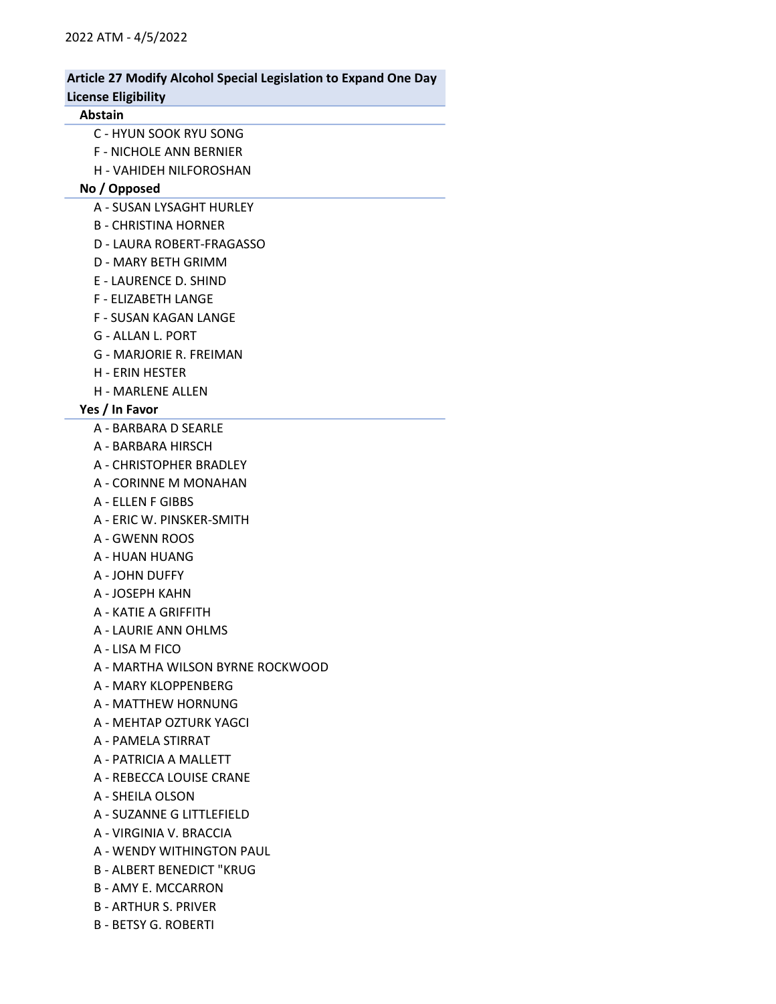# Article 27 Modify Alcohol Special Legislation to Expand One Day

# License Eligibility

#### Abstain

- C HYUN SOOK RYU SONG
- F NICHOLE ANN BERNIER
- H VAHIDEH NILFOROSHAN

#### No / Opposed

- A SUSAN LYSAGHT HURLEY
- B CHRISTINA HORNER
- D LAURA ROBERT-FRAGASSO
- D MARY BETH GRIMM
- E LAURENCE D. SHIND
- F ELIZABETH LANGE
- F SUSAN KAGAN LANGE
- G ALLAN L. PORT
- G MARJORIE R. FREIMAN
- H ERIN HESTER
- H MARLENE ALLEN

#### Yes / In Favor

- A BARBARA D SEARLE
- A BARBARA HIRSCH
- A CHRISTOPHER BRADLEY
- A CORINNE M MONAHAN
- A ELLEN F GIBBS
- A ERIC W. PINSKER-SMITH
- A GWENN ROOS
- A HUAN HUANG
- A JOHN DUFFY
- A JOSEPH KAHN
- A KATIE A GRIFFITH
- A LAURIE ANN OHLMS
- A LISA M FICO
- A MARTHA WILSON BYRNE ROCKWOOD
- A MARY KLOPPENBERG
- A MATTHEW HORNUNG
- A MEHTAP OZTURK YAGCI
- A PAMELA STIRRAT
- A PATRICIA A MALLETT
- A REBECCA LOUISE CRANE
- A SHEILA OLSON
- A SUZANNE G LITTLEFIELD
- A VIRGINIA V. BRACCIA
- A WENDY WITHINGTON PAUL
- B ALBERT BENEDICT "KRUG
- B AMY E. MCCARRON
- B ARTHUR S. PRIVER
- B BETSY G. ROBERTI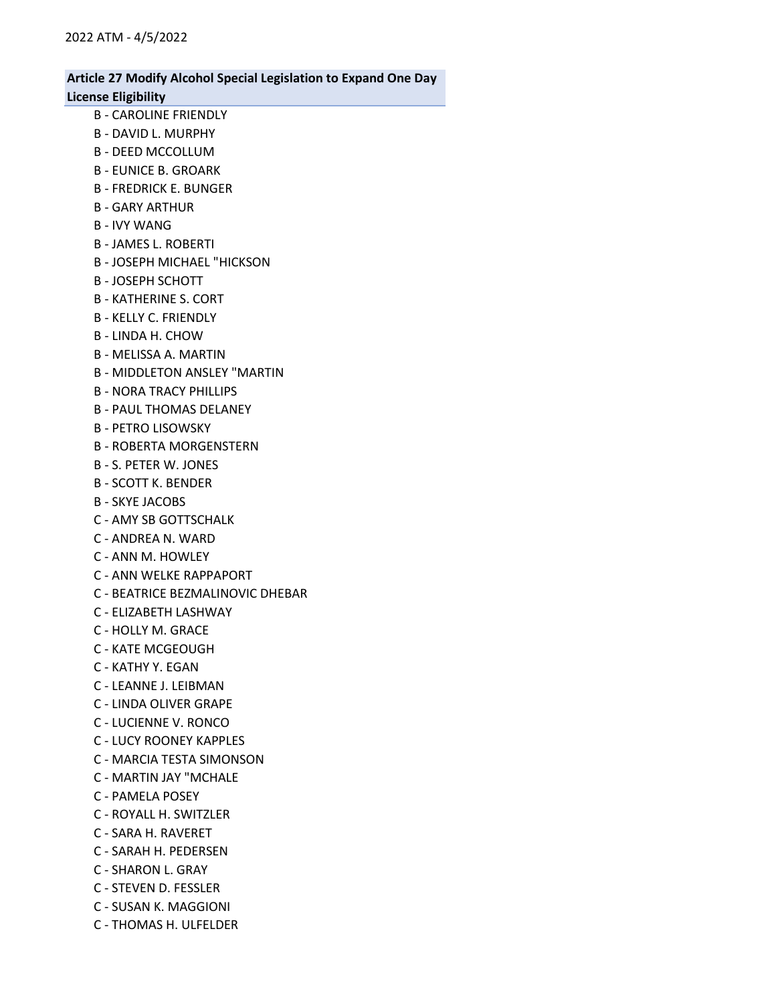- B CAROLINE FRIENDLY
- B DAVID L. MURPHY
- B DEED MCCOLLUM
- B EUNICE B. GROARK
- B FREDRICK E. BUNGER
- B GARY ARTHUR
- B IVY WANG
- B JAMES L. ROBERTI
- B JOSEPH MICHAEL "HICKSON
- B JOSEPH SCHOTT
- B KATHERINE S. CORT
- B KELLY C. FRIENDLY
- B LINDA H. CHOW
- B MELISSA A. MARTIN
- B MIDDLETON ANSLEY "MARTIN
- B NORA TRACY PHILLIPS
- B PAUL THOMAS DELANEY
- B PETRO LISOWSKY
- B ROBERTA MORGENSTERN
- B S. PETER W. JONES
- B SCOTT K. BENDER
- B SKYE JACOBS
- C AMY SB GOTTSCHALK
- C ANDREA N. WARD
- C ANN M. HOWLEY
- C ANN WELKE RAPPAPORT
- C BEATRICE BEZMALINOVIC DHEBAR
- C ELIZABETH LASHWAY
- C HOLLY M. GRACE
- C KATE MCGEOUGH
- C KATHY Y. EGAN
- C LEANNE J. LEIBMAN
- C LINDA OLIVER GRAPE
- C LUCIENNE V. RONCO
- C LUCY ROONEY KAPPLES
- C MARCIA TESTA SIMONSON
- C MARTIN JAY "MCHALE
- C PAMELA POSEY
- C ROYALL H. SWITZLER
- C SARA H. RAVERET
- C SARAH H. PEDERSEN
- C SHARON L. GRAY
- C STEVEN D. FESSLER
- C SUSAN K. MAGGIONI
- C THOMAS H. ULFELDER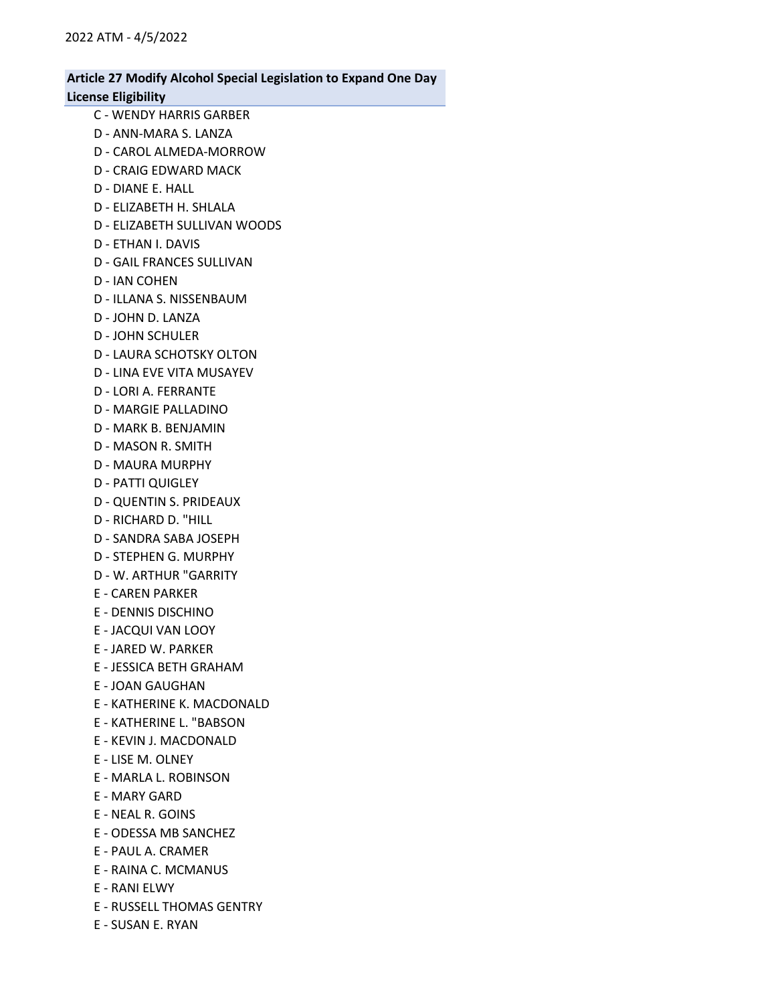- C WENDY HARRIS GARBER
- D ANN-MARA S. LANZA
- D CAROL ALMEDA-MORROW
- D CRAIG EDWARD MACK
- D DIANE E. HALL
- D ELIZABETH H. SHLALA
- D ELIZABETH SULLIVAN WOODS
- D ETHAN I. DAVIS
- D GAIL FRANCES SULLIVAN
- D IAN COHEN
- D ILLANA S. NISSENBAUM
- D JOHN D. LANZA
- D JOHN SCHULER
- D LAURA SCHOTSKY OLTON
- D LINA EVE VITA MUSAYEV
- D LORI A. FERRANTE
- D MARGIE PALLADINO
- D MARK B. BENJAMIN
- D MASON R. SMITH
- D MAURA MURPHY
- D PATTI QUIGLEY
- D QUENTIN S. PRIDEAUX
- D RICHARD D. "HILL
- D SANDRA SABA JOSEPH
- D STEPHEN G. MURPHY
- D W. ARTHUR "GARRITY
- E CAREN PARKER
- E DENNIS DISCHINO
- E JACQUI VAN LOOY
- E JARED W. PARKER
- E JESSICA BETH GRAHAM
- E JOAN GAUGHAN
- E KATHERINE K. MACDONALD
- E KATHERINE L. "BABSON
- E KEVIN J. MACDONALD
- E LISE M. OLNEY
- E MARLA L. ROBINSON
- E MARY GARD
- E NEAL R. GOINS
- E ODESSA MB SANCHEZ
- E PAUL A. CRAMER
- E RAINA C. MCMANUS
- E RANI ELWY
- E RUSSELL THOMAS GENTRY
- E SUSAN E. RYAN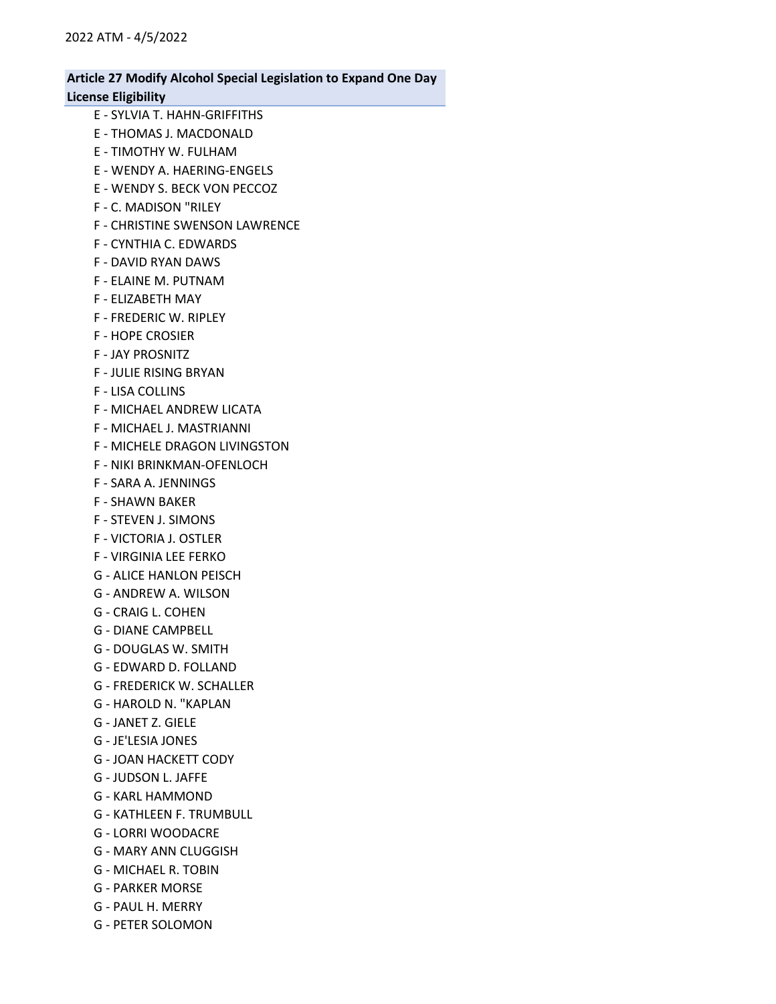- E SYLVIA T. HAHN-GRIFFITHS E - THOMAS J. MACDONALD E - TIMOTHY W. FULHAM E - WENDY A. HAERING-ENGELS E - WENDY S. BECK VON PECCOZ F - C. MADISON "RILEY F - CHRISTINE SWENSON LAWRENCE F - CYNTHIA C. EDWARDS F - DAVID RYAN DAWS F - ELAINE M. PUTNAM F - ELIZABETH MAY F - FREDERIC W. RIPLEY F - HOPE CROSIER F - JAY PROSNITZ F - JULIE RISING BRYAN F - LISA COLLINS F - MICHAEL ANDREW LICATA F - MICHAEL J. MASTRIANNI F - MICHELE DRAGON LIVINGSTON F - NIKI BRINKMAN-OFENLOCH F - SARA A. JENNINGS F - SHAWN BAKER F - STEVEN J. SIMONS F - VICTORIA J. OSTLER F - VIRGINIA LEE FERKO G - ALICE HANLON PEISCH G - ANDREW A. WILSON
- G CRAIG L. COHEN
- G DIANE CAMPBELL
- G DOUGLAS W. SMITH
- G EDWARD D. FOLLAND
- G FREDERICK W. SCHALLER
- G HAROLD N. "KAPLAN
- G JANET Z. GIELE
- G JE'LESIA JONES
- G JOAN HACKETT CODY
- G JUDSON L. JAFFE
- G KARL HAMMOND
- G KATHLEEN F. TRUMBULL
- G LORRI WOODACRE
- G MARY ANN CLUGGISH
- G MICHAEL R. TOBIN
- G PARKER MORSE
- G PAUL H. MERRY
- G PETER SOLOMON